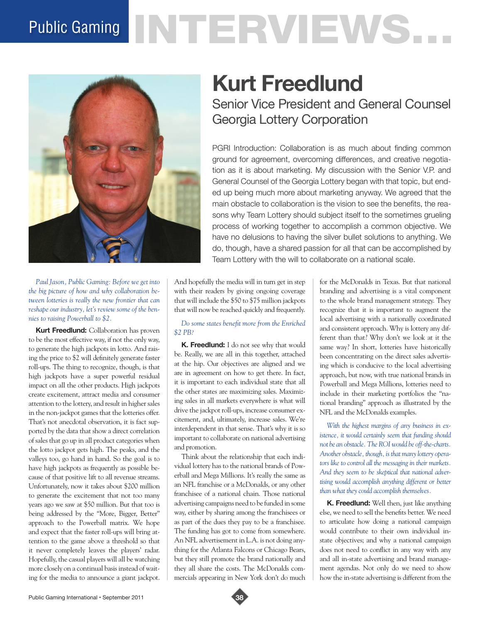# Public Gaming NTERVIEWS.



*Paul Jason, Public Gaming: Before we get into the big picture of how and why collaboration between lotteries is really the new frontier that can reshape our industry, let's review some of the bennies to raising Powerball to \$2.*

**Kurt Freedlund:** Collaboration has proven to be the most effective way, if not the only way, to generate the high jackpots in lotto. And raising the price to \$2 will definitely generate faster roll-ups. The thing to recognize, though, is that high jackpots have a super powerful residual impact on all the other products. High jackpots create excitement, attract media and consumer attention to the lottery, and result in higher sales in the non-jackpot games that the lotteries offer. That's not anecdotal observation, it is fact supported by the data that show a direct correlation of sales that go up in all product categories when the lotto jackpot gets high. The peaks, and the valleys too, go hand in hand. So the goal is to have high jackpots as frequently as possible because of that positive lift to all revenue streams. Unfortunately, now it takes about \$200 million to generate the excitement that not too many years ago we saw at \$50 million. But that too is being addressed by the "More, Bigger, Better" approach to the Powerball matrix. We hope and expect that the faster roll-ups will bring attention to the game above a threshold so that it never completely leaves the players' radar. Hopefully, the casual players will all be watching more closely on a continual basis instead of waiting for the media to announce a giant jackpot.

# **Kurt Freedlund**

Senior Vice President and General Counsel Georgia Lottery Corporation

PGRI Introduction: Collaboration is as much about finding common ground for agreement, overcoming differences, and creative negotiation as it is about marketing. My discussion with the Senior V.P. and General Counsel of the Georgia Lottery began with that topic, but ended up being much more about marketing anyway. We agreed that the main obstacle to collaboration is the vision to see the benefits, the reasons why Team Lottery should subject itself to the sometimes grueling process of working together to accomplish a common objective. We have no delusions to having the silver bullet solutions to anything. We do, though, have a shared passion for all that can be accomplished by Team Lottery with the will to collaborate on a national scale.

And hopefully the media will in turn get in step with their readers by giving ongoing coverage that will include the \$50 to \$75 million jackpots that will now be reached quickly and frequently.

## *Do some states benefit more from the Enriched \$2 PB?*

**K. Freedlund:** I do not see why that would be. Really, we are all in this together, attached at the hip. Our objectives are aligned and we are in agreement on how to get there. In fact, it is important to each individual state that all the other states are maximizing sales. Maximizing sales in all markets everywhere is what will drive the jackpot roll-ups, increase consumer excitement, and, ultimately, increase sales. We're interdependent in that sense. That's why it is so important to collaborate on national advertising and promotion.

Think about the relationship that each individual lottery has to the national brands of Powerball and Mega Millions. It's really the same as an NFL franchise or a McDonalds, or any other franchisee of a national chain. Those national advertising campaigns need to be funded in some way, either by sharing among the franchisees or as part of the dues they pay to be a franchisee. The funding has got to come from somewhere. An NFL advertisement in L.A. is not doing anything for the Atlanta Falcons or Chicago Bears, but they still promote the brand nationally and they all share the costs. The McDonalds commercials appearing in New York don't do much for the McDonalds in Texas. But that national branding and advertising is a vital component to the whole brand management strategy. They recognize that it is important to augment the local advertising with a nationally coordinated and consistent approach. Why is lottery any different than that? Why don't we look at it the same way? In short, lotteries have historically been concentrating on the direct sales advertising which is conducive to the local advertising approach, but now, with true national brands in Powerball and Mega Millions, lotteries need to include in their marketing portfolios the "national branding" approach as illustrated by the NFL and the McDonalds examples.

*With the highest margins of any business in existence, it would certainly seem that funding should not be an obstacle. The ROI would be off-the-charts. Another obstacle, though, is that many lottery operators like to control all the messaging in their markets. And they seem to be skeptical that national advertising would accomplish anything different or better than what they could accomplish themselves.* 

**K. Freedlund:** Well then, just like anything else, we need to sell the benefits better. We need to articulate how doing a national campaign would contribute to their own individual instate objectives; and why a national campaign does not need to conflict in any way with any and all in-state advertising and brand management agendas. Not only do we need to show how the in-state advertising is different from the

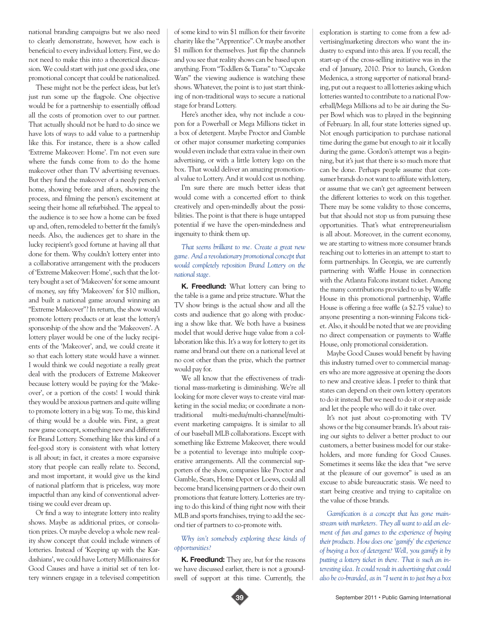national branding campaigns but we also need to clearly demonstrate, however, how each is beneficial to every individual lottery. First, we do not need to make this into a theoretical discussion. We could start with just one good idea, one promotional concept that could be nationalized.

These might not be the perfect ideas, but let's just run some up the flagpole. One objective would be for a partnership to essentially offload all the costs of promotion over to our partner. That actually should not be hard to do since we have lots of ways to add value to a partnership like this. For instance, there is a show called 'Extreme Makeover: Home'. I'm not even sure where the funds come from to do the home makeover other than TV advertising revenues. But they fund the makeover of a needy person's home, showing before and afters, showing the process, and filming the person's excitement at seeing their home all refurbished. The appeal to the audience is to see how a home can be fixed up and, often, remodeled to better fit the family's needs. Also, the audiences get to share in the lucky recipient's good fortune at having all that done for them. Why couldn't lottery enter into a collaborative arrangement with the producers of 'Extreme Makeover: Home', such that the lottery bought a set of 'Makeovers' for some amount of money, say fifty 'Makeovers' for \$10 million, and built a national game around winning an "Extreme Makeover"? In return, the show would promote lottery products or at least the lottery's sponsorship of the show and the 'Makeovers'. A lottery player would be one of the lucky recipients of the 'Makeover', and, we could create it so that each lottery state would have a winner. I would think we could negotiate a really great deal with the producers of Extreme Makeover because lottery would be paying for the 'Makeover', or a portion of the costs! I would think they would be anxious partners and quite willing to promote lottery in a big way. To me, this kind of thing would be a double win. First, a great new game concept, something new and different for Brand Lottery. Something like this kind of a feel-good story is consistent with what lottery is all about; in fact, it creates a more expansive story that people can really relate to. Second, and most important, it would give us the kind of national platform that is priceless, way more impactful than any kind of conventional advertising we could ever dream up.

Or find a way to integrate lottery into reality shows. Maybe as additional prizes, or consolation prizes. Or maybe develop a whole new reality show concept that could include winners of lotteries. Instead of 'Keeping up with the Kardashians', we could have Lottery Millionaires for Good Causes and have a initial set of ten lottery winners engage in a televised competition

of some kind to win \$1 million for their favorite charity like the "Apprentice". Or maybe another \$1 million for themselves. Just flip the channels and you see that reality shows can be based upon anything. From "Toddlers & Tiaras" to "Cupcake Wars" the viewing audience is watching these shows. Whatever, the point is to just start thinking of non-traditional ways to secure a national stage for brand Lottery.

Here's another idea, why not include a coupon for a Powerball or Mega Millions ticket in a box of detergent. Maybe Proctor and Gamble or other major consumer marketing companies would even include that extra value in their own advertising, or with a little lottery logo on the box. That would deliver an amazing promotional value to Lottery. And it would cost us nothing.

I'm sure there are much better ideas that would come with a concerted effort to think creatively and open-mindedly about the possibilities. The point is that there is huge untapped potential if we have the open-mindedness and ingenuity to think them up.

#### *That seems brilliant to me. Create a great new game. And a revolutionary promotional concept that would completely reposition Brand Lottery on the national stage.*

**K. Freedlund:** What lottery can bring to the table is a game and prize structure. What the TV show brings is the actual show and all the costs and audience that go along with producing a show like that. We both have a business model that would derive huge value from a collaboration like this. It's a way for lottery to get its name and brand out there on a national level at no cost other than the prize, which the partner would pay for.

We all know that the effectiveness of traditional mass-marketing is diminishing. We're all looking for more clever ways to create viral marketing in the social media; or coordinate a nontraditional multi-media/multi-channel/multievent marketing campaigns. It is similar to all of our baseball MLB collaborations. Except with something like Extreme Makeover, there would be a potential to leverage into multiple cooperative arrangements. All the commercial supporters of the show, companies like Proctor and Gamble, Sears, Home Depot or Loews, could all become brand licensing partners or do their own promotions that feature lottery. Lotteries are trying to do this kind of thing right now with their MLB and sports franchises, trying to add the second tier of partners to co-promote with.

## *Why isn't somebody exploring these kinds of opportunities?*

**K. Freedlund:** They are, but for the reasons we have discussed earlier, there is not a groundswell of support at this time. Currently, the

exploration is starting to come from a few advertising/marketing directors who want the industry to expand into this area. If you recall, the start-up of the cross-selling initiative was in the end of January, 2010. Prior to launch, Gordon Medenica, a strong supporter of national branding, put out a request to all lotteries asking which lotteries wanted to contribute to a national Powerball/Mega Millions ad to be air during the Super Bowl which was to played in the beginning of February. In all, four state lotteries signed up. Not enough participation to purchase national time during the game but enough to air it locally during the game. Gordon's attempt was a beginning, but it's just that there is so much more that can be done. Perhaps people assume that consumer brands do not want to affiliate with lottery, or assume that we can't get agreement between the different lotteries to work on this together. There may be some validity to those concerns, but that should not stop us from pursuing these opportunities. That's what entrepreneurialism is all about. Moreover, in the current economy, we are starting to witness more consumer brands reaching out to lotteries in an attempt to start to form partnerships. In Georgia, we are currently partnering with Waffle House in connection with the Atlanta Falcons instant ticket. Among the many contributions provided to us by Waffle House in this promotional partnership, Waffle House is offering a free waffle (a \$2.75 value) to anyone presenting a non-winning Falcons ticket. Also, it should be noted that we are providing no direct compensation or payments to Waffle House, only promotional consideration.

Maybe Good Causes would benefit by having this industry turned over to commercial managers who are more aggressive at opening the doors to new and creative ideas. I prefer to think that states can depend on their own lottery operators to do it instead. But we need to do it or step aside and let the people who will do it take over.

It's not just about co-promoting with TV shows or the big consumer brands. It's about raising our sights to deliver a better product to our customers, a better business model for our stakeholders, and more funding for Good Causes. Sometimes it seems like the idea that "we serve at the pleasure of our governor" is used as an excuse to abide bureaucratic stasis. We need to start being creative and trying to capitalize on the value of those brands.

*Gamification is a concept that has gone mainstream with marketers. They all want to add an element of fun and games to the experience of buying their products. How does one 'gamify' the experience of buying a box of detergent? Well, you gamify it by putting a lottery ticket in there. That is such an interesting idea. It could result in advertising that could also be co-branded, as in "I went in to just buy a box* 



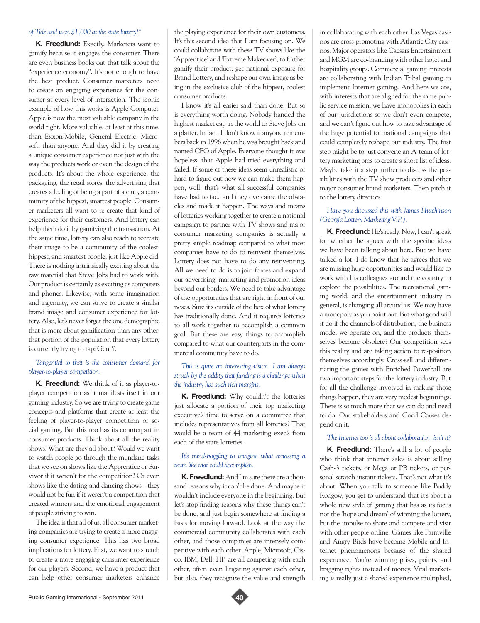#### *of Tide and won \$1,000 at the state lottery!"*

**K. Freedlund:** Exactly. Marketers want to gamify because it engages the consumer. There are even business books out that talk about the "experience economy". It's not enough to have the best product. Consumer marketers need to create an engaging experience for the consumer at every level of interaction. The iconic example of how this works is Apple Computer. Apple is now the most valuable company in the world right. More valuable, at least at this time, than Exxon-Mobile, General Electric, Microsoft, than anyone. And they did it by creating a unique consumer experience not just with the way the products work or even the design of the products. It's about the whole experience, the packaging, the retail stores, the advertising that creates a feeling of being a part of a club, a community of the hippest, smartest people. Consumer marketers all want to re-create that kind of experience for their customers. And lottery can help them do it by gamifying the transaction. At the same time, lottery can also reach to recreate their image to be a community of the coolest, hippest, and smartest people, just like Apple did. There is nothing intrinsically exciting about the raw material that Steve Jobs had to work with. Our product is certainly as exciting as computers and phones. Likewise, with some imagination and ingenuity, we can strive to create a similar brand image and consumer experience for lottery. Also, let's never forget the one demographic that is more about gamification than any other; that portion of the population that every lottery is currently trying to tap; Gen Y.

#### *Tangential to that is the consumer demand for player-to-player competition.*

**K. Freedlund:** We think of it as player-toplayer competition as it manifests itself in our gaming industry. So we are trying to create game concepts and platforms that create at least the feeling of player-to-player competition or social gaming. But this too has its counterpart in consumer products. Think about all the reality shows. What are they all about? Would we want to watch people go through the mundane tasks that we see on shows like the Apprentice or Survivor if it weren't for the competition? Or even shows like the dating and dancing shows - they would not be fun if it weren't a competition that created winners and the emotional engagement of people striving to win.

The idea is that all of us, all consumer marketing companies are trying to create a more engaging consumer experience. This has two broad implications for lottery. First, we want to stretch to create a more engaging consumer experience for our players. Second, we have a product that can help other consumer marketers enhance

the playing experience for their own customers. It's this second idea that I am focusing on. We could collaborate with these TV shows like the 'Apprentice' and 'Extreme Makeover', to further gamify their product, get national exposure for Brand Lottery, and reshape our own image as being in the exclusive club of the hippest, coolest consumer products.

I know it's all easier said than done. But so is everything worth doing. Nobody handed the highest market cap in the world to Steve Jobs on a platter. In fact, I don't know if anyone remembers back in 1996 when he was brought back and named CEO of Apple. Everyone thought it was hopeless, that Apple had tried everything and failed. If some of these ideas seem unrealistic or hard to figure out how we can make them happen, well, that's what all successful companies have had to face and they overcame the obstacles and made it happen. The ways and means of lotteries working together to create a national campaign to partner with TV shows and major consumer marketing companies is actually a pretty simple roadmap compared to what most companies have to do to reinvent themselves. Lottery does not have to do any reinventing. All we need to do is to join forces and expand our advertising, marketing and promotion ideas beyond our borders. We need to take advantage of the opportunities that are right in front of our noses. Sure it's outside of the box of what lottery has traditionally done. And it requires lotteries to all work together to accomplish a common goal. But these are easy things to accomplish compared to what our counterparts in the commercial community have to do.

#### *This is quite an interesting vision. I am always struck by the oddity that funding is a challenge when the industry has such rich margins.*

**K. Freedlund:** Why couldn't the lotteries just allocate a portion of their top marketing executive's time to serve on a committee that includes representatives from all lotteries? That would be a team of 44 marketing exec's from each of the state lotteries.

#### *It's mind-boggling to imagine what amassing a team like that could accomplish.*

**K. Freedlund:** And I'm sure there are a thousand reasons why it can't be done. And maybe it wouldn't include everyone in the beginning. But let's stop finding reasons why these things can't be done, and just begin somewhere at finding a basis for moving forward. Look at the way the commercial community collaborates with each other, and those companies are intensely competitive with each other. Apple, Microsoft, Cisco, IBM, Dell, HP, are all competing with each other, often even litigating against each other, but also, they recognize the value and strength

in collaborating with each other. Las Vegas casinos are cross-promoting with Atlantic City casinos. Major operators like Caesars Entertainment and MGM are co-branding with other hotel and hospitality groups. Commercial gaming interests are collaborating with Indian Tribal gaming to implement Internet gaming. And here we are, with interests that are aligned for the same public service mission, we have monopolies in each of our jurisdictions so we don't even compete, and we can't figure out how to take advantage of the huge potential for national campaigns that could completely reshape our industry. The first step might be to just convene an A-team of lottery marketing pros to create a short list of ideas. Maybe take it a step further to discuss the possibilities with the TV show producers and other major consumer brand marketers. Then pitch it to the lottery directors.

#### *Have you discussed this with James Hutchinson (Georgia Lottery Marketing V.P.).*

**K. Freedlund:** He's ready. Now, I can't speak for whether he agrees with the specific ideas we have been talking about here. But we have talked a lot. I do know that he agrees that we are missing huge opportunities and would like to work with his colleagues around the country to explore the possibilities. The recreational gaming world, and the entertainment industry in general, is changing all around us. We may have a monopoly as you point out. But what good will it do if the channels of distribution, the business model we operate on, and the products themselves become obsolete? Our competition sees this reality and are taking action to re-position themselves accordingly. Cross-sell and differentiating the games with Enriched Powerball are two important steps for the lottery industry. But for all the challenge involved in making those things happen, they are very modest beginnings. There is so much more that we can do and need to do. Our stakeholders and Good Causes depend on it.

#### *The Internet too is all about collaboration, isn't it?*

**K. Freedlund:** There's still a lot of people who think that internet sales is about selling Cash-3 tickets, or Mega or PB tickets, or personal scratch instant tickets. That's not what it's about. When you talk to someone like Buddy Roogow, you get to understand that it's about a whole new style of gaming that has as its focus not the 'hope and dream' of winning the lottery, but the impulse to share and compete and visit with other people online. Games like Farmville and Angry Birds have become Mobile and Internet phenomenons because of the shared experience. You're winning prizes, points, and bragging rights instead of money. Viral marketing is really just a shared experience multiplied,